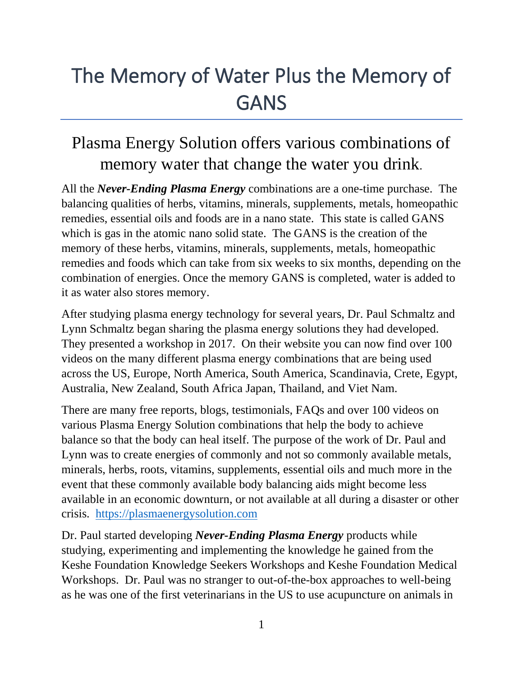## The Memory of Water Plus the Memory of **GANS**

## Plasma Energy Solution offers various combinations of memory water that change the water you drink.

All the *Never-Ending Plasma Energy* combinations are a one-time purchase. The balancing qualities of herbs, vitamins, minerals, supplements, metals, homeopathic remedies, essential oils and foods are in a nano state. This state is called GANS which is gas in the atomic nano solid state. The GANS is the creation of the memory of these herbs, vitamins, minerals, supplements, metals, homeopathic remedies and foods which can take from six weeks to six months, depending on the combination of energies. Once the memory GANS is completed, water is added to it as water also stores memory.

After studying plasma energy technology for several years, Dr. Paul Schmaltz and Lynn Schmaltz began sharing the plasma energy solutions they had developed. They presented a workshop in 2017. On their website you can now find over 100 videos on the many different plasma energy combinations that are being used across the US, Europe, North America, South America, Scandinavia, Crete, Egypt, Australia, New Zealand, South Africa Japan, Thailand, and Viet Nam.

There are many free reports, blogs, testimonials, FAQs and over 100 videos on various Plasma Energy Solution combinations that help the body to achieve balance so that the body can heal itself. The purpose of the work of Dr. Paul and Lynn was to create energies of commonly and not so commonly available metals, minerals, herbs, roots, vitamins, supplements, essential oils and much more in the event that these commonly available body balancing aids might become less available in an economic downturn, or not available at all during a disaster or other crisis. [https://plasmaenergysolution.com](https://plasmaenergysolution.com/)

Dr. Paul started developing *Never-Ending Plasma Energy* products while studying, experimenting and implementing the knowledge he gained from the Keshe Foundation Knowledge Seekers Workshops and Keshe Foundation Medical Workshops. Dr. Paul was no stranger to out-of-the-box approaches to well-being as he was one of the first veterinarians in the US to use acupuncture on animals in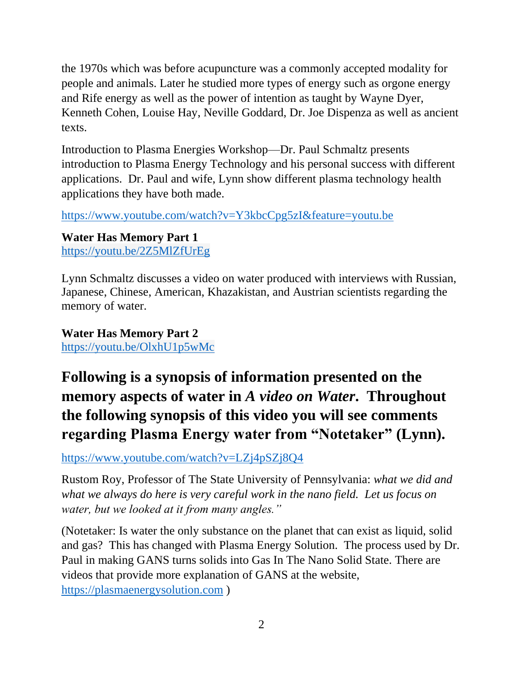the 1970s which was before acupuncture was a commonly accepted modality for people and animals. Later he studied more types of energy such as orgone energy and Rife energy as well as the power of intention as taught by Wayne Dyer, Kenneth Cohen, Louise Hay, Neville Goddard, Dr. Joe Dispenza as well as ancient texts.

Introduction to Plasma Energies Workshop—Dr. Paul Schmaltz presents introduction to Plasma Energy Technology and his personal success with different applications. Dr. Paul and wife, Lynn show different plasma technology health applications they have both made.

<https://www.youtube.com/watch?v=Y3kbcCpg5zI&feature=youtu.be>

**Water Has Memory Part 1** <https://youtu.be/2Z5MlZfUrEg>

Lynn Schmaltz discusses a video on water produced with interviews with Russian, Japanese, Chinese, American, Khazakistan, and Austrian scientists regarding the memory of water.

**Water Has Memory Part 2** <https://youtu.be/OlxhU1p5wMc>

## **Following is a synopsis of information presented on the memory aspects of water in** *A video on Water***. Throughout the following synopsis of this video you will see comments regarding Plasma Energy water from "Notetaker" (Lynn).**

<https://www.youtube.com/watch?v=LZj4pSZj8Q4>

Rustom Roy, Professor of The State University of Pennsylvania: *what we did and what we always do here is very careful work in the nano field. Let us focus on water, but we looked at it from many angles."* 

(Notetaker: Is water the only substance on the planet that can exist as liquid, solid and gas? This has changed with Plasma Energy Solution. The process used by Dr. Paul in making GANS turns solids into Gas In The Nano Solid State. There are videos that provide more explanation of GANS at the website, [https://plasmaenergysolution.com](https://plasmaenergysolution.com/) )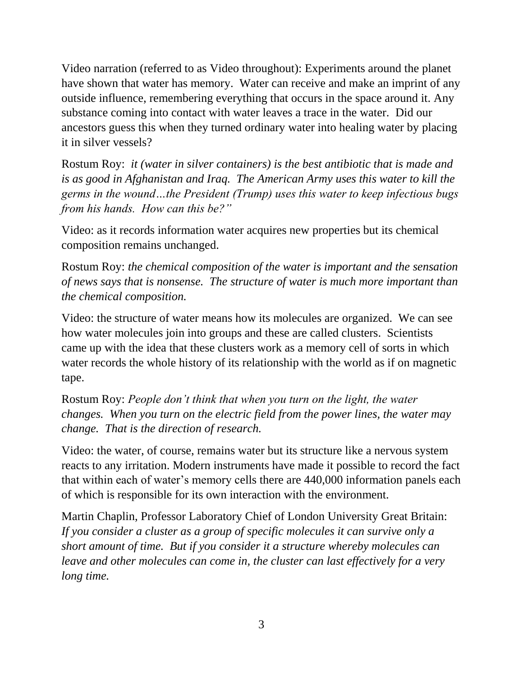Video narration (referred to as Video throughout): Experiments around the planet have shown that water has memory. Water can receive and make an imprint of any outside influence, remembering everything that occurs in the space around it. Any substance coming into contact with water leaves a trace in the water. Did our ancestors guess this when they turned ordinary water into healing water by placing it in silver vessels?

Rostum Roy: *it (water in silver containers) is the best antibiotic that is made and is as good in Afghanistan and Iraq. The American Army uses this water to kill the germs in the wound…the President (Trump) uses this water to keep infectious bugs from his hands. How can this be?"*

Video: as it records information water acquires new properties but its chemical composition remains unchanged.

Rostum Roy: *the chemical composition of the water is important and the sensation of news says that is nonsense. The structure of water is much more important than the chemical composition.*

Video: the structure of water means how its molecules are organized. We can see how water molecules join into groups and these are called clusters. Scientists came up with the idea that these clusters work as a memory cell of sorts in which water records the whole history of its relationship with the world as if on magnetic tape.

Rostum Roy: *People don't think that when you turn on the light, the water changes. When you turn on the electric field from the power lines, the water may change. That is the direction of research.*

Video: the water, of course, remains water but its structure like a nervous system reacts to any irritation. Modern instruments have made it possible to record the fact that within each of water's memory cells there are 440,000 information panels each of which is responsible for its own interaction with the environment.

Martin Chaplin, Professor Laboratory Chief of London University Great Britain: *If you consider a cluster as a group of specific molecules it can survive only a short amount of time. But if you consider it a structure whereby molecules can leave and other molecules can come in, the cluster can last effectively for a very long time.*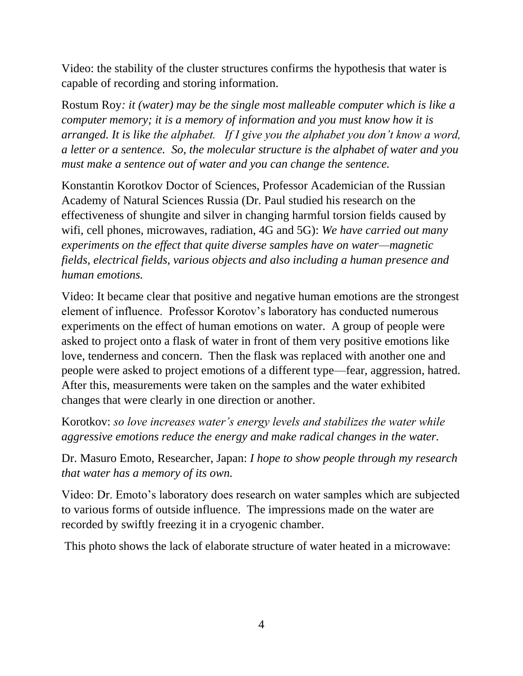Video: the stability of the cluster structures confirms the hypothesis that water is capable of recording and storing information.

Rostum Roy*: it (water) may be the single most malleable computer which is like a computer memory; it is a memory of information and you must know how it is arranged. It is like the alphabet. If I give you the alphabet you don't know a word, a letter or a sentence. So, the molecular structure is the alphabet of water and you must make a sentence out of water and you can change the sentence.*

Konstantin Korotkov Doctor of Sciences, Professor Academician of the Russian Academy of Natural Sciences Russia (Dr. Paul studied his research on the effectiveness of shungite and silver in changing harmful torsion fields caused by wifi, cell phones, microwaves, radiation, 4G and 5G): *We have carried out many experiments on the effect that quite diverse samples have on water—magnetic fields, electrical fields, various objects and also including a human presence and human emotions.*

Video: It became clear that positive and negative human emotions are the strongest element of influence. Professor Korotov's laboratory has conducted numerous experiments on the effect of human emotions on water. A group of people were asked to project onto a flask of water in front of them very positive emotions like love, tenderness and concern. Then the flask was replaced with another one and people were asked to project emotions of a different type—fear, aggression, hatred. After this, measurements were taken on the samples and the water exhibited changes that were clearly in one direction or another.

Korotkov: *so love increases water's energy levels and stabilizes the water while aggressive emotions reduce the energy and make radical changes in the water.* 

Dr. Masuro Emoto, Researcher, Japan: *I hope to show people through my research that water has a memory of its own.* 

Video: Dr. Emoto's laboratory does research on water samples which are subjected to various forms of outside influence. The impressions made on the water are recorded by swiftly freezing it in a cryogenic chamber.

This photo shows the lack of elaborate structure of water heated in a microwave: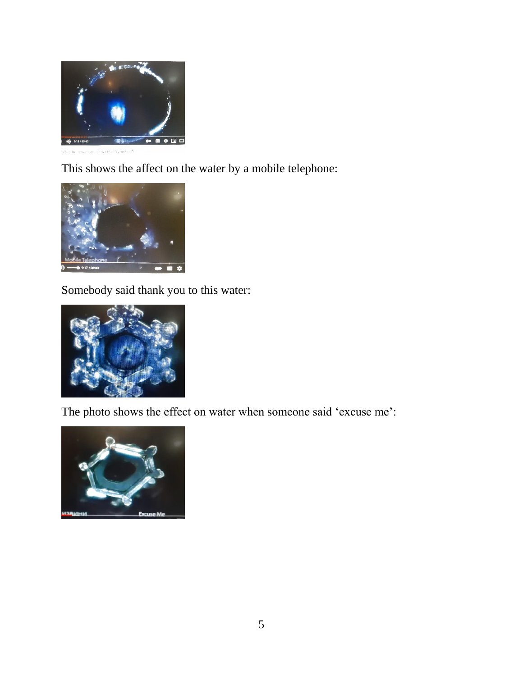

.<br>Larvi Stater Hall Momench D.

This shows the affect on the water by a mobile telephone:



Somebody said thank you to this water:



The photo shows the effect on water when someone said 'excuse me':

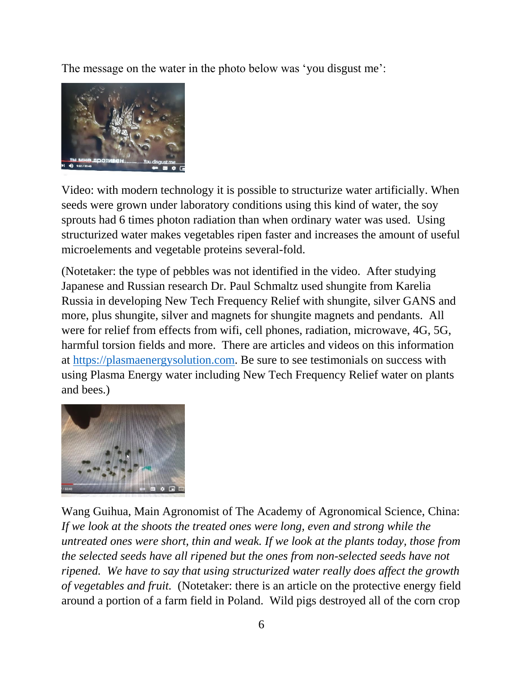The message on the water in the photo below was 'you disgust me':



Video: with modern technology it is possible to structurize water artificially. When seeds were grown under laboratory conditions using this kind of water, the soy sprouts had 6 times photon radiation than when ordinary water was used. Using structurized water makes vegetables ripen faster and increases the amount of useful microelements and vegetable proteins several-fold.

(Notetaker: the type of pebbles was not identified in the video. After studying Japanese and Russian research Dr. Paul Schmaltz used shungite from Karelia Russia in developing New Tech Frequency Relief with shungite, silver GANS and more, plus shungite, silver and magnets for shungite magnets and pendants. All were for relief from effects from wifi, cell phones, radiation, microwave, 4G, 5G, harmful torsion fields and more. There are articles and videos on this information at [https://plasmaenergysolution.com.](https://plasmaenergysolution.com/) Be sure to see testimonials on success with using Plasma Energy water including New Tech Frequency Relief water on plants and bees.)



Wang Guihua, Main Agronomist of The Academy of Agronomical Science, China: *If we look at the shoots the treated ones were long, even and strong while the untreated ones were short, thin and weak. If we look at the plants today, those from the selected seeds have all ripened but the ones from non-selected seeds have not ripened. We have to say that using structurized water really does affect the growth of vegetables and fruit.* (Notetaker: there is an article on the protective energy field around a portion of a farm field in Poland. Wild pigs destroyed all of the corn crop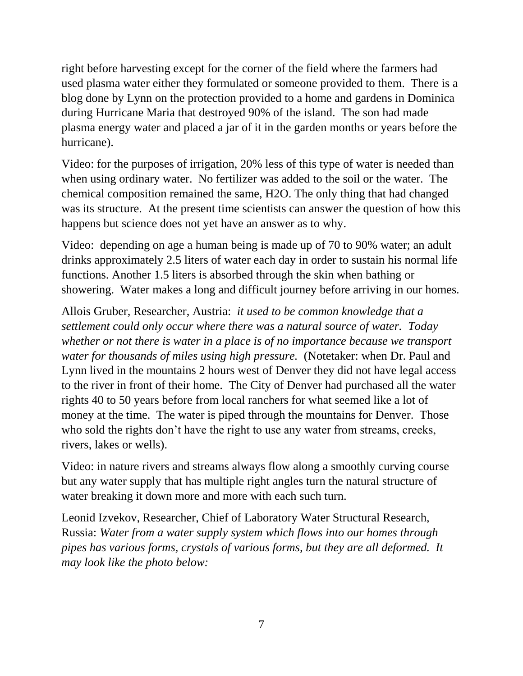right before harvesting except for the corner of the field where the farmers had used plasma water either they formulated or someone provided to them. There is a blog done by Lynn on the protection provided to a home and gardens in Dominica during Hurricane Maria that destroyed 90% of the island. The son had made plasma energy water and placed a jar of it in the garden months or years before the hurricane).

Video: for the purposes of irrigation, 20% less of this type of water is needed than when using ordinary water. No fertilizer was added to the soil or the water. The chemical composition remained the same, H2O. The only thing that had changed was its structure. At the present time scientists can answer the question of how this happens but science does not yet have an answer as to why.

Video: depending on age a human being is made up of 70 to 90% water; an adult drinks approximately 2.5 liters of water each day in order to sustain his normal life functions. Another 1.5 liters is absorbed through the skin when bathing or showering. Water makes a long and difficult journey before arriving in our homes.

Allois Gruber, Researcher, Austria: *it used to be common knowledge that a settlement could only occur where there was a natural source of water. Today whether or not there is water in a place is of no importance because we transport water for thousands of miles using high pressure.* (Notetaker: when Dr. Paul and Lynn lived in the mountains 2 hours west of Denver they did not have legal access to the river in front of their home. The City of Denver had purchased all the water rights 40 to 50 years before from local ranchers for what seemed like a lot of money at the time. The water is piped through the mountains for Denver. Those who sold the rights don't have the right to use any water from streams, creeks, rivers, lakes or wells).

Video: in nature rivers and streams always flow along a smoothly curving course but any water supply that has multiple right angles turn the natural structure of water breaking it down more and more with each such turn.

Leonid Izvekov, Researcher, Chief of Laboratory Water Structural Research, Russia: *Water from a water supply system which flows into our homes through pipes has various forms, crystals of various forms, but they are all deformed. It may look like the photo below:*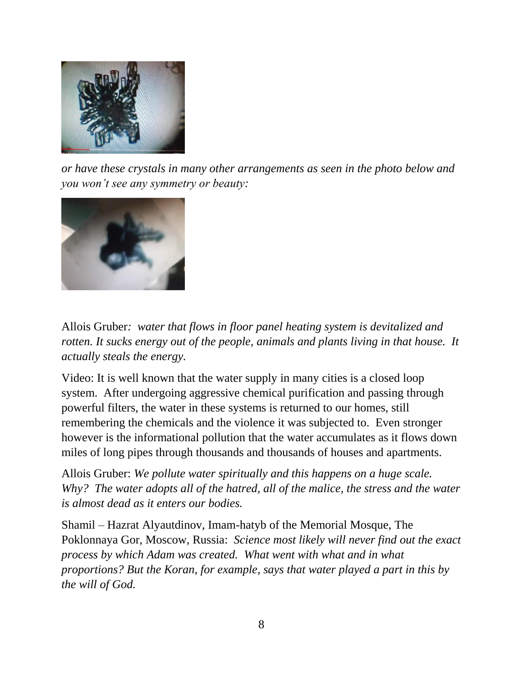

*or have these crystals in many other arrangements as seen in the photo below and you won't see any symmetry or beauty:*



Allois Gruber*: water that flows in floor panel heating system is devitalized and rotten. It sucks energy out of the people, animals and plants living in that house. It actually steals the energy.* 

Video: It is well known that the water supply in many cities is a closed loop system. After undergoing aggressive chemical purification and passing through powerful filters, the water in these systems is returned to our homes, still remembering the chemicals and the violence it was subjected to. Even stronger however is the informational pollution that the water accumulates as it flows down miles of long pipes through thousands and thousands of houses and apartments.

Allois Gruber: *We pollute water spiritually and this happens on a huge scale. Why? The water adopts all of the hatred, all of the malice, the stress and the water is almost dead as it enters our bodies.* 

Shamil – Hazrat Alyautdinov, Imam-hatyb of the Memorial Mosque, The Poklonnaya Gor, Moscow, Russia: *Science most likely will never find out the exact process by which Adam was created. What went with what and in what proportions? But the Koran, for example, says that water played a part in this by the will of God.*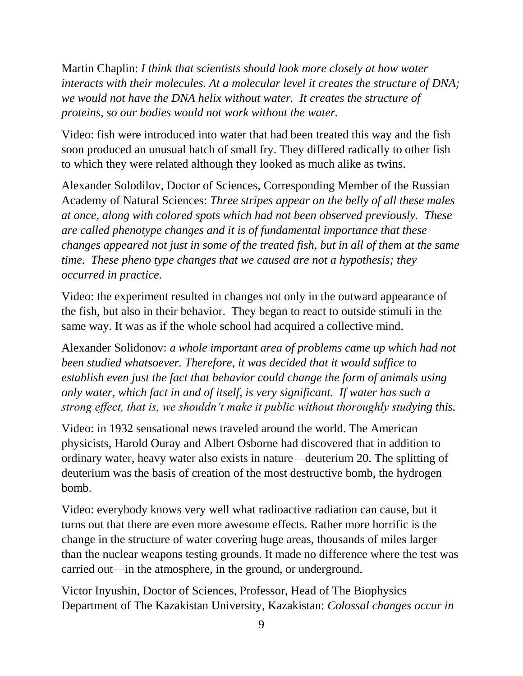Martin Chaplin: *I think that scientists should look more closely at how water interacts with their molecules. At a molecular level it creates the structure of DNA; we would not have the DNA helix without water. It creates the structure of proteins, so our bodies would not work without the water.*

Video: fish were introduced into water that had been treated this way and the fish soon produced an unusual hatch of small fry. They differed radically to other fish to which they were related although they looked as much alike as twins.

Alexander Solodilov, Doctor of Sciences, Corresponding Member of the Russian Academy of Natural Sciences: *Three stripes appear on the belly of all these males at once, along with colored spots which had not been observed previously. These are called phenotype changes and it is of fundamental importance that these changes appeared not just in some of the treated fish, but in all of them at the same time. These pheno type changes that we caused are not a hypothesis; they occurred in practice.* 

Video: the experiment resulted in changes not only in the outward appearance of the fish, but also in their behavior. They began to react to outside stimuli in the same way. It was as if the whole school had acquired a collective mind.

Alexander Solidonov: *a whole important area of problems came up which had not been studied whatsoever. Therefore, it was decided that it would suffice to establish even just the fact that behavior could change the form of animals using only water, which fact in and of itself, is very significant. If water has such a strong effect, that is, we shouldn't make it public without thoroughly studying this.* 

Video: in 1932 sensational news traveled around the world. The American physicists, Harold Ouray and Albert Osborne had discovered that in addition to ordinary water, heavy water also exists in nature—deuterium 20. The splitting of deuterium was the basis of creation of the most destructive bomb, the hydrogen bomb.

Video: everybody knows very well what radioactive radiation can cause, but it turns out that there are even more awesome effects. Rather more horrific is the change in the structure of water covering huge areas, thousands of miles larger than the nuclear weapons testing grounds. It made no difference where the test was carried out—in the atmosphere, in the ground, or underground.

Victor Inyushin, Doctor of Sciences, Professor, Head of The Biophysics Department of The Kazakistan University, Kazakistan: *Colossal changes occur in*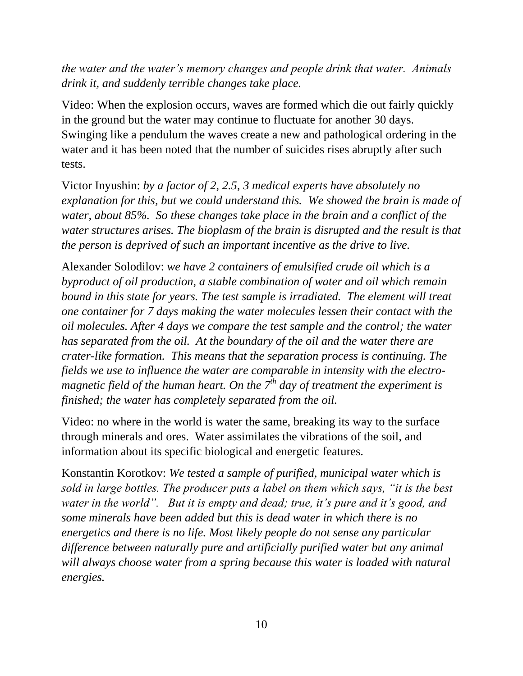*the water and the water's memory changes and people drink that water. Animals drink it, and suddenly terrible changes take place.* 

Video: When the explosion occurs, waves are formed which die out fairly quickly in the ground but the water may continue to fluctuate for another 30 days. Swinging like a pendulum the waves create a new and pathological ordering in the water and it has been noted that the number of suicides rises abruptly after such tests.

Victor Inyushin: *by a factor of 2, 2.5, 3 medical experts have absolutely no explanation for this, but we could understand this. We showed the brain is made of water, about 85%. So these changes take place in the brain and a conflict of the water structures arises. The bioplasm of the brain is disrupted and the result is that the person is deprived of such an important incentive as the drive to live.*

Alexander Solodilov: *we have 2 containers of emulsified crude oil which is a byproduct of oil production, a stable combination of water and oil which remain bound in this state for years. The test sample is irradiated. The element will treat one container for 7 days making the water molecules lessen their contact with the oil molecules. After 4 days we compare the test sample and the control; the water has separated from the oil. At the boundary of the oil and the water there are crater-like formation. This means that the separation process is continuing. The fields we use to influence the water are comparable in intensity with the electromagnetic field of the human heart. On the 7th day of treatment the experiment is finished; the water has completely separated from the oil.*

Video: no where in the world is water the same, breaking its way to the surface through minerals and ores. Water assimilates the vibrations of the soil, and information about its specific biological and energetic features.

Konstantin Korotkov: *We tested a sample of purified, municipal water which is sold in large bottles. The producer puts a label on them which says, "it is the best water in the world". But it is empty and dead; true, it's pure and it's good, and some minerals have been added but this is dead water in which there is no energetics and there is no life. Most likely people do not sense any particular difference between naturally pure and artificially purified water but any animal*  will always choose water from a spring because this water is loaded with natural *energies.*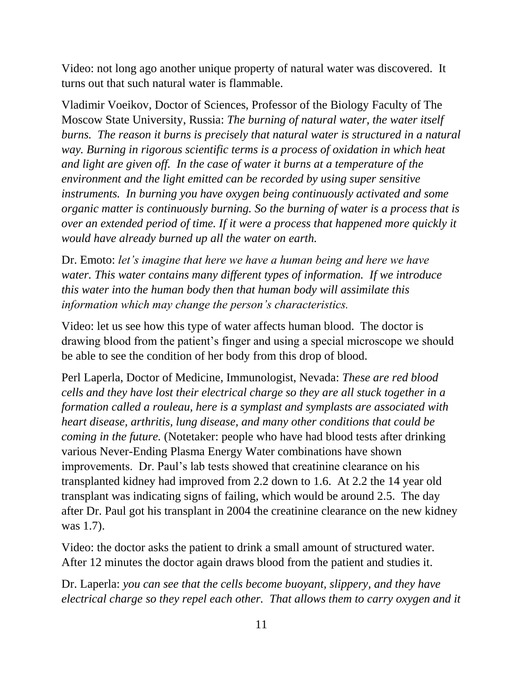Video: not long ago another unique property of natural water was discovered. It turns out that such natural water is flammable.

Vladimir Voeikov, Doctor of Sciences, Professor of the Biology Faculty of The Moscow State University, Russia: *The burning of natural water, the water itself burns. The reason it burns is precisely that natural water is structured in a natural way. Burning in rigorous scientific terms is a process of oxidation in which heat and light are given off. In the case of water it burns at a temperature of the environment and the light emitted can be recorded by using super sensitive instruments. In burning you have oxygen being continuously activated and some organic matter is continuously burning. So the burning of water is a process that is over an extended period of time. If it were a process that happened more quickly it would have already burned up all the water on earth.*

Dr. Emoto: *let's imagine that here we have a human being and here we have water. This water contains many different types of information. If we introduce this water into the human body then that human body will assimilate this information which may change the person's characteristics.*

Video: let us see how this type of water affects human blood. The doctor is drawing blood from the patient's finger and using a special microscope we should be able to see the condition of her body from this drop of blood.

Perl Laperla, Doctor of Medicine, Immunologist, Nevada: *These are red blood cells and they have lost their electrical charge so they are all stuck together in a formation called a rouleau, here is a symplast and symplasts are associated with heart disease, arthritis, lung disease, and many other conditions that could be coming in the future.* (Notetaker: people who have had blood tests after drinking various Never-Ending Plasma Energy Water combinations have shown improvements. Dr. Paul's lab tests showed that creatinine clearance on his transplanted kidney had improved from 2.2 down to 1.6. At 2.2 the 14 year old transplant was indicating signs of failing, which would be around 2.5. The day after Dr. Paul got his transplant in 2004 the creatinine clearance on the new kidney was 1.7).

Video: the doctor asks the patient to drink a small amount of structured water. After 12 minutes the doctor again draws blood from the patient and studies it.

Dr. Laperla: *you can see that the cells become buoyant, slippery, and they have electrical charge so they repel each other. That allows them to carry oxygen and it*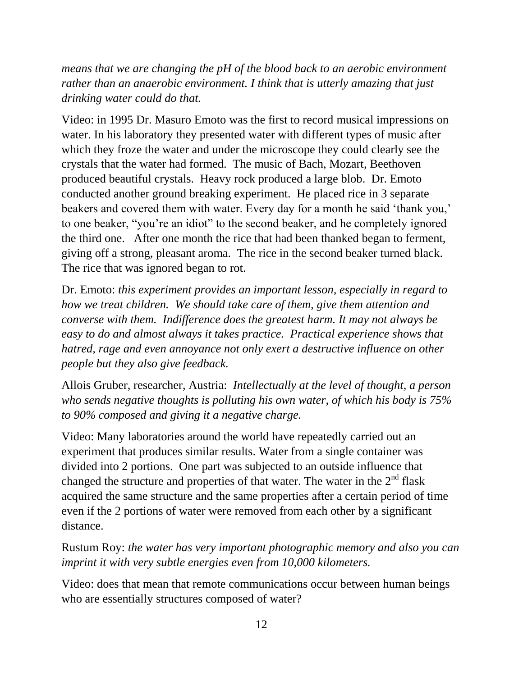*means that we are changing the pH of the blood back to an aerobic environment rather than an anaerobic environment. I think that is utterly amazing that just drinking water could do that.*

Video: in 1995 Dr. Masuro Emoto was the first to record musical impressions on water. In his laboratory they presented water with different types of music after which they froze the water and under the microscope they could clearly see the crystals that the water had formed. The music of Bach, Mozart, Beethoven produced beautiful crystals. Heavy rock produced a large blob. Dr. Emoto conducted another ground breaking experiment. He placed rice in 3 separate beakers and covered them with water. Every day for a month he said 'thank you,' to one beaker, "you're an idiot" to the second beaker, and he completely ignored the third one. After one month the rice that had been thanked began to ferment, giving off a strong, pleasant aroma. The rice in the second beaker turned black. The rice that was ignored began to rot.

Dr. Emoto: *this experiment provides an important lesson, especially in regard to how we treat children. We should take care of them, give them attention and converse with them. Indifference does the greatest harm. It may not always be easy to do and almost always it takes practice. Practical experience shows that hatred, rage and even annoyance not only exert a destructive influence on other people but they also give feedback.* 

Allois Gruber, researcher, Austria: *Intellectually at the level of thought, a person who sends negative thoughts is polluting his own water, of which his body is 75% to 90% composed and giving it a negative charge.*

Video: Many laboratories around the world have repeatedly carried out an experiment that produces similar results. Water from a single container was divided into 2 portions. One part was subjected to an outside influence that changed the structure and properties of that water. The water in the  $2<sup>nd</sup>$  flask acquired the same structure and the same properties after a certain period of time even if the 2 portions of water were removed from each other by a significant distance.

Rustum Roy: *the water has very important photographic memory and also you can imprint it with very subtle energies even from 10,000 kilometers.*

Video: does that mean that remote communications occur between human beings who are essentially structures composed of water?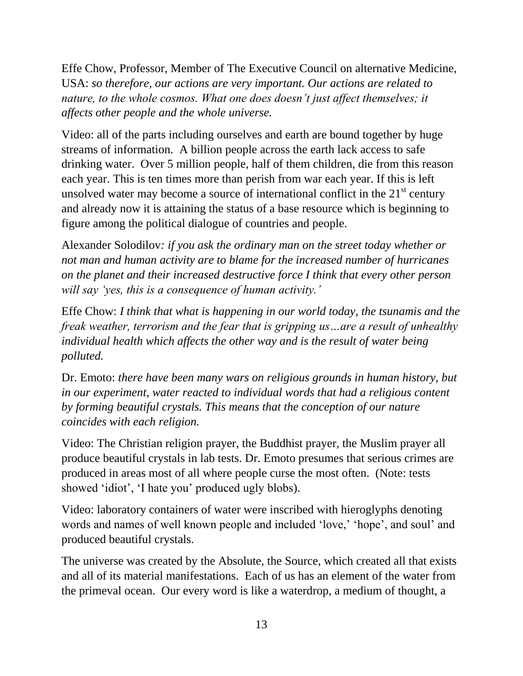Effe Chow, Professor, Member of The Executive Council on alternative Medicine, USA: *so therefore, our actions are very important. Our actions are related to nature, to the whole cosmos. What one does doesn't just affect themselves; it affects other people and the whole universe.*

Video: all of the parts including ourselves and earth are bound together by huge streams of information. A billion people across the earth lack access to safe drinking water. Over 5 million people, half of them children, die from this reason each year. This is ten times more than perish from war each year. If this is left unsolved water may become a source of international conflict in the  $21<sup>st</sup>$  century and already now it is attaining the status of a base resource which is beginning to figure among the political dialogue of countries and people.

Alexander Solodilov*: if you ask the ordinary man on the street today whether or not man and human activity are to blame for the increased number of hurricanes on the planet and their increased destructive force I think that every other person will say 'yes, this is a consequence of human activity.'* 

Effe Chow: *I think that what is happening in our world today, the tsunamis and the freak weather, terrorism and the fear that is gripping us…are a result of unhealthy individual health which affects the other way and is the result of water being polluted.*

Dr. Emoto: *there have been many wars on religious grounds in human history, but in our experiment, water reacted to individual words that had a religious content by forming beautiful crystals. This means that the conception of our nature coincides with each religion.* 

Video: The Christian religion prayer, the Buddhist prayer, the Muslim prayer all produce beautiful crystals in lab tests. Dr. Emoto presumes that serious crimes are produced in areas most of all where people curse the most often. (Note: tests showed 'idiot', 'I hate you' produced ugly blobs).

Video: laboratory containers of water were inscribed with hieroglyphs denoting words and names of well known people and included 'love,' 'hope', and soul' and produced beautiful crystals.

The universe was created by the Absolute, the Source, which created all that exists and all of its material manifestations. Each of us has an element of the water from the primeval ocean. Our every word is like a waterdrop, a medium of thought, a